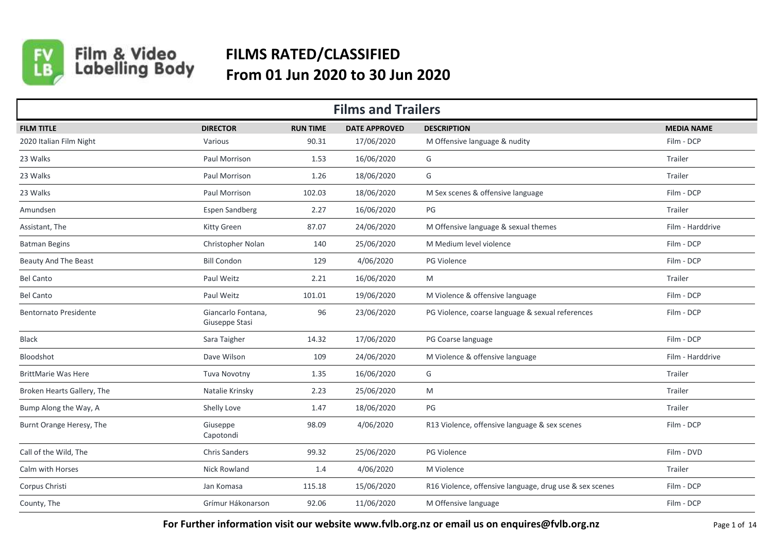

## Film & Video<br>Labelling Body **FILMS RATED/CLASSIFIED From 01 Jun 2020 to 30 Jun 2020**

| <b>Films and Trailers</b>    |                                      |                 |                      |                                                         |                   |  |  |  |
|------------------------------|--------------------------------------|-----------------|----------------------|---------------------------------------------------------|-------------------|--|--|--|
| <b>FILM TITLE</b>            | <b>DIRECTOR</b>                      | <b>RUN TIME</b> | <b>DATE APPROVED</b> | <b>DESCRIPTION</b>                                      | <b>MEDIA NAME</b> |  |  |  |
| 2020 Italian Film Night      | Various                              | 90.31           | 17/06/2020           | M Offensive language & nudity                           | Film - DCP        |  |  |  |
| 23 Walks                     | Paul Morrison                        | 1.53            | 16/06/2020           | G                                                       | Trailer           |  |  |  |
| 23 Walks                     | Paul Morrison                        | 1.26            | 18/06/2020           | G                                                       | Trailer           |  |  |  |
| 23 Walks                     | Paul Morrison                        | 102.03          | 18/06/2020           | M Sex scenes & offensive language                       | Film - DCP        |  |  |  |
| Amundsen                     | <b>Espen Sandberg</b>                | 2.27            | 16/06/2020           | PG                                                      | Trailer           |  |  |  |
| Assistant, The               | Kitty Green                          | 87.07           | 24/06/2020           | M Offensive language & sexual themes                    | Film - Harddrive  |  |  |  |
| <b>Batman Begins</b>         | Christopher Nolan                    | 140             | 25/06/2020           | M Medium level violence                                 | Film - DCP        |  |  |  |
| <b>Beauty And The Beast</b>  | <b>Bill Condon</b>                   | 129             | 4/06/2020            | PG Violence                                             | Film - DCP        |  |  |  |
| <b>Bel Canto</b>             | Paul Weitz                           | 2.21            | 16/06/2020           | M                                                       | Trailer           |  |  |  |
| <b>Bel Canto</b>             | Paul Weitz                           | 101.01          | 19/06/2020           | M Violence & offensive language                         | Film - DCP        |  |  |  |
| <b>Bentornato Presidente</b> | Giancarlo Fontana,<br>Giuseppe Stasi | 96              | 23/06/2020           | PG Violence, coarse language & sexual references        | Film - DCP        |  |  |  |
| Black                        | Sara Taigher                         | 14.32           | 17/06/2020           | PG Coarse language                                      | Film - DCP        |  |  |  |
| Bloodshot                    | Dave Wilson                          | 109             | 24/06/2020           | M Violence & offensive language                         | Film - Harddrive  |  |  |  |
| <b>BrittMarie Was Here</b>   | Tuva Novotny                         | 1.35            | 16/06/2020           | G                                                       | Trailer           |  |  |  |
| Broken Hearts Gallery, The   | Natalie Krinsky                      | 2.23            | 25/06/2020           | M                                                       | Trailer           |  |  |  |
| Bump Along the Way, A        | Shelly Love                          | 1.47            | 18/06/2020           | PG                                                      | Trailer           |  |  |  |
| Burnt Orange Heresy, The     | Giuseppe<br>Capotondi                | 98.09           | 4/06/2020            | R13 Violence, offensive language & sex scenes           | Film - DCP        |  |  |  |
| Call of the Wild, The        | <b>Chris Sanders</b>                 | 99.32           | 25/06/2020           | PG Violence                                             | Film - DVD        |  |  |  |
| Calm with Horses             | <b>Nick Rowland</b>                  | 1.4             | 4/06/2020            | M Violence                                              | Trailer           |  |  |  |
| Corpus Christi               | Jan Komasa                           | 115.18          | 15/06/2020           | R16 Violence, offensive language, drug use & sex scenes | Film - DCP        |  |  |  |
| County, The                  | Grímur Hákonarson                    | 92.06           | 11/06/2020           | M Offensive language                                    | Film - DCP        |  |  |  |

For Further information visit our website www.fvlb.org.nz or email us on enquires@fvlb.org.nz<br>Page 1 of 14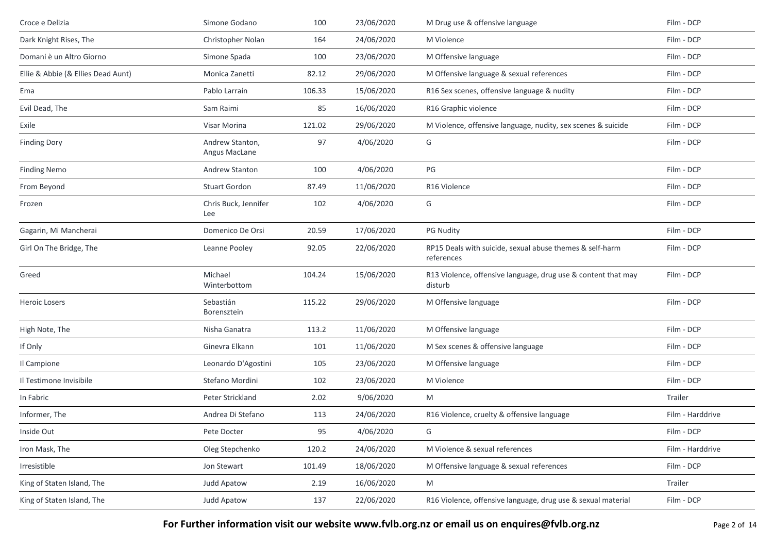| Croce e Delizia                    | Simone Godano                    | 100    | 23/06/2020 | M Drug use & offensive language                                          | Film - DCP       |
|------------------------------------|----------------------------------|--------|------------|--------------------------------------------------------------------------|------------------|
| Dark Knight Rises, The             | Christopher Nolan                | 164    | 24/06/2020 | M Violence                                                               | Film - DCP       |
| Domani è un Altro Giorno           | Simone Spada                     | 100    | 23/06/2020 | M Offensive language                                                     | Film - DCP       |
| Ellie & Abbie (& Ellies Dead Aunt) | Monica Zanetti                   | 82.12  | 29/06/2020 | M Offensive language & sexual references                                 | Film - DCP       |
| Ema                                | Pablo Larraín                    | 106.33 | 15/06/2020 | R16 Sex scenes, offensive language & nudity                              | Film - DCP       |
| Evil Dead, The                     | Sam Raimi                        | 85     | 16/06/2020 | R16 Graphic violence                                                     | Film - DCP       |
| Exile                              | Visar Morina                     | 121.02 | 29/06/2020 | M Violence, offensive language, nudity, sex scenes & suicide             | Film - DCP       |
| <b>Finding Dory</b>                | Andrew Stanton,<br>Angus MacLane | 97     | 4/06/2020  | G                                                                        | Film - DCP       |
| <b>Finding Nemo</b>                | Andrew Stanton                   | 100    | 4/06/2020  | PG                                                                       | Film - DCP       |
| From Beyond                        | Stuart Gordon                    | 87.49  | 11/06/2020 | R16 Violence                                                             | Film - DCP       |
| Frozen                             | Chris Buck, Jennifer<br>Lee      | 102    | 4/06/2020  | G                                                                        | Film - DCP       |
| Gagarin, Mi Mancherai              | Domenico De Orsi                 | 20.59  | 17/06/2020 | <b>PG Nudity</b>                                                         | Film - DCP       |
| Girl On The Bridge, The            | Leanne Pooley                    | 92.05  | 22/06/2020 | RP15 Deals with suicide, sexual abuse themes & self-harm<br>references   | Film - DCP       |
| Greed                              | Michael<br>Winterbottom          | 104.24 | 15/06/2020 | R13 Violence, offensive language, drug use & content that may<br>disturb | Film - DCP       |
| <b>Heroic Losers</b>               | Sebastián<br>Borensztein         | 115.22 | 29/06/2020 | M Offensive language                                                     | Film - DCP       |
| High Note, The                     | Nisha Ganatra                    | 113.2  | 11/06/2020 | M Offensive language                                                     | Film - DCP       |
| If Only                            | Ginevra Elkann                   | 101    | 11/06/2020 | M Sex scenes & offensive language                                        | Film - DCP       |
| Il Campione                        | Leonardo D'Agostini              | 105    | 23/06/2020 | M Offensive language                                                     | Film - DCP       |
| Il Testimone Invisibile            | Stefano Mordini                  | 102    | 23/06/2020 | M Violence                                                               | Film - DCP       |
| In Fabric                          | Peter Strickland                 | 2.02   | 9/06/2020  | M                                                                        | Trailer          |
| Informer, The                      | Andrea Di Stefano                | 113    | 24/06/2020 | R16 Violence, cruelty & offensive language                               | Film - Harddrive |
| Inside Out                         | Pete Docter                      | 95     | 4/06/2020  | G                                                                        | Film - DCP       |
| Iron Mask, The                     | Oleg Stepchenko                  | 120.2  | 24/06/2020 | M Violence & sexual references                                           | Film - Harddrive |
| Irresistible                       | Jon Stewart                      | 101.49 | 18/06/2020 | M Offensive language & sexual references                                 | Film - DCP       |
| King of Staten Island, The         | Judd Apatow                      | 2.19   | 16/06/2020 | M                                                                        | Trailer          |
| King of Staten Island, The         | Judd Apatow                      | 137    | 22/06/2020 | R16 Violence, offensive language, drug use & sexual material             | Film - DCP       |

**For Further information visit our website www.fvlb.org.nz or email us on enquires@fvlb.org.nz** Page 2 of 14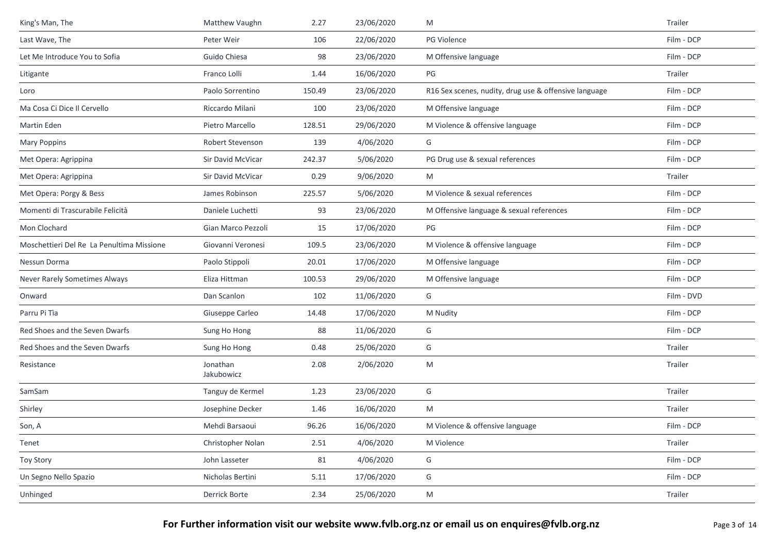| King's Man, The                           | Matthew Vaughn         | 2.27   | 23/06/2020 | M                                                     | Trailer    |
|-------------------------------------------|------------------------|--------|------------|-------------------------------------------------------|------------|
| Last Wave, The                            | Peter Weir             | 106    | 22/06/2020 | PG Violence                                           | Film - DCP |
| Let Me Introduce You to Sofia             | Guido Chiesa           | 98     | 23/06/2020 | M Offensive language                                  | Film - DCP |
| Litigante                                 | Franco Lolli           | 1.44   | 16/06/2020 | PG                                                    | Trailer    |
| Loro                                      | Paolo Sorrentino       | 150.49 | 23/06/2020 | R16 Sex scenes, nudity, drug use & offensive language | Film - DCP |
| Ma Cosa Ci Dice Il Cervello               | Riccardo Milani        | 100    | 23/06/2020 | M Offensive language                                  | Film - DCP |
| Martin Eden                               | Pietro Marcello        | 128.51 | 29/06/2020 | M Violence & offensive language                       | Film - DCP |
| <b>Mary Poppins</b>                       | Robert Stevenson       | 139    | 4/06/2020  | G                                                     | Film - DCP |
| Met Opera: Agrippina                      | Sir David McVicar      | 242.37 | 5/06/2020  | PG Drug use & sexual references                       | Film - DCP |
| Met Opera: Agrippina                      | Sir David McVicar      | 0.29   | 9/06/2020  | M                                                     | Trailer    |
| Met Opera: Porgy & Bess                   | James Robinson         | 225.57 | 5/06/2020  | M Violence & sexual references                        | Film - DCP |
| Momenti di Trascurabile Felicità          | Daniele Luchetti       | 93     | 23/06/2020 | M Offensive language & sexual references              | Film - DCP |
| Mon Clochard                              | Gian Marco Pezzoli     | 15     | 17/06/2020 | PG                                                    | Film - DCP |
| Moschettieri Del Re La Penultima Missione | Giovanni Veronesi      | 109.5  | 23/06/2020 | M Violence & offensive language                       | Film - DCP |
| Nessun Dorma                              | Paolo Stippoli         | 20.01  | 17/06/2020 | M Offensive language                                  | Film - DCP |
| Never Rarely Sometimes Always             | Eliza Hittman          | 100.53 | 29/06/2020 | M Offensive language                                  | Film - DCP |
| Onward                                    | Dan Scanlon            | 102    | 11/06/2020 | G                                                     | Film - DVD |
| Parru Pi Tìa                              | Giuseppe Carleo        | 14.48  | 17/06/2020 | M Nudity                                              | Film - DCP |
| Red Shoes and the Seven Dwarfs            | Sung Ho Hong           | 88     | 11/06/2020 | G                                                     | Film - DCP |
| Red Shoes and the Seven Dwarfs            | Sung Ho Hong           | 0.48   | 25/06/2020 | G                                                     | Trailer    |
| Resistance                                | Jonathan<br>Jakubowicz | 2.08   | 2/06/2020  | M                                                     | Trailer    |
| SamSam                                    | Tanguy de Kermel       | 1.23   | 23/06/2020 | G                                                     | Trailer    |
| Shirley                                   | Josephine Decker       | 1.46   | 16/06/2020 | M                                                     | Trailer    |
| Son, A                                    | Mehdi Barsaoui         | 96.26  | 16/06/2020 | M Violence & offensive language                       | Film - DCP |
| Tenet                                     | Christopher Nolan      | 2.51   | 4/06/2020  | M Violence                                            | Trailer    |
| <b>Toy Story</b>                          | John Lasseter          | 81     | 4/06/2020  | G                                                     | Film - DCP |
| Un Segno Nello Spazio                     | Nicholas Bertini       | 5.11   | 17/06/2020 | G                                                     | Film - DCP |
| Unhinged                                  | Derrick Borte          | 2.34   | 25/06/2020 | M                                                     | Trailer    |
|                                           |                        |        |            |                                                       |            |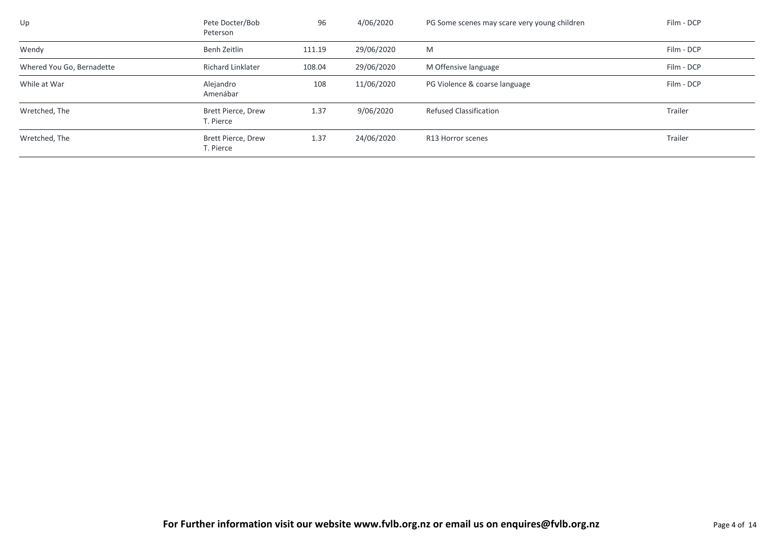| Up                        | Pete Docter/Bob<br>Peterson            | 96     | 4/06/2020  | PG Some scenes may scare very young children | Film - DCP |
|---------------------------|----------------------------------------|--------|------------|----------------------------------------------|------------|
| Wendy                     | Benh Zeitlin                           | 111.19 | 29/06/2020 | M                                            | Film - DCP |
| Whered You Go, Bernadette | <b>Richard Linklater</b>               | 108.04 | 29/06/2020 | M Offensive language                         | Film - DCP |
| While at War              | Alejandro<br>Amenábar                  | 108    | 11/06/2020 | PG Violence & coarse language                | Film - DCP |
| Wretched, The             | Brett Pierce, Drew<br>T. Pierce        | 1.37   | 9/06/2020  | <b>Refused Classification</b>                | Trailer    |
| Wretched, The             | <b>Brett Pierce, Drew</b><br>T. Pierce | 1.37   | 24/06/2020 | R13 Horror scenes                            | Trailer    |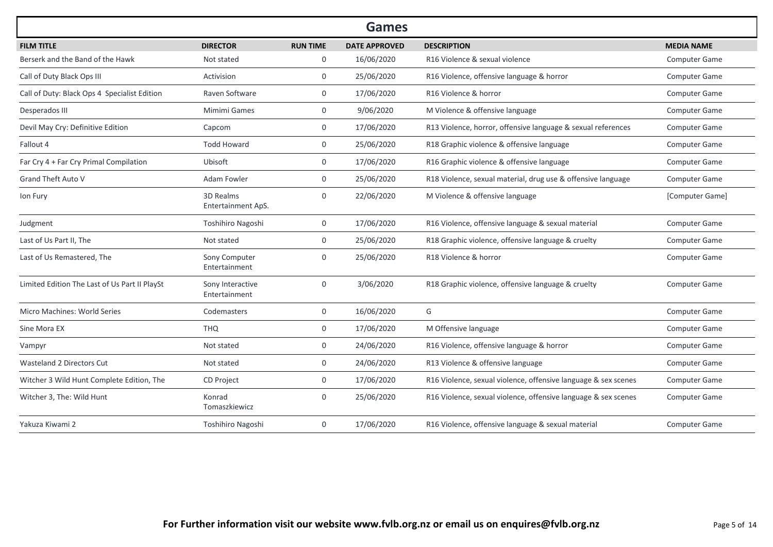|                                               |                                   |                 | <b>Games</b>         |                                                                |                      |
|-----------------------------------------------|-----------------------------------|-----------------|----------------------|----------------------------------------------------------------|----------------------|
| <b>FILM TITLE</b>                             | <b>DIRECTOR</b>                   | <b>RUN TIME</b> | <b>DATE APPROVED</b> | <b>DESCRIPTION</b>                                             | <b>MEDIA NAME</b>    |
| Berserk and the Band of the Hawk              | Not stated                        | 0               | 16/06/2020           | R16 Violence & sexual violence                                 | Computer Game        |
| Call of Duty Black Ops III                    | Activision                        | $\mathbf 0$     | 25/06/2020           | R16 Violence, offensive language & horror                      | Computer Game        |
| Call of Duty: Black Ops 4 Specialist Edition  | Raven Software                    | $\mathbf 0$     | 17/06/2020           | R16 Violence & horror                                          | Computer Game        |
| Desperados III                                | Mimimi Games                      | $\mathbf{0}$    | 9/06/2020            | M Violence & offensive language                                | Computer Game        |
| Devil May Cry: Definitive Edition             | Capcom                            | $\mathbf{0}$    | 17/06/2020           | R13 Violence, horror, offensive language & sexual references   | Computer Game        |
| Fallout 4                                     | <b>Todd Howard</b>                | $\mathbf{0}$    | 25/06/2020           | R18 Graphic violence & offensive language                      | <b>Computer Game</b> |
| Far Cry 4 + Far Cry Primal Compilation        | Ubisoft                           | $\mathbf{0}$    | 17/06/2020           | R16 Graphic violence & offensive language                      | <b>Computer Game</b> |
| <b>Grand Theft Auto V</b>                     | Adam Fowler                       | $\overline{0}$  | 25/06/2020           | R18 Violence, sexual material, drug use & offensive language   | <b>Computer Game</b> |
| Ion Fury                                      | 3D Realms<br>Entertainment ApS.   | $\Omega$        | 22/06/2020           | M Violence & offensive language                                | [Computer Game]      |
| Judgment                                      | Toshihiro Nagoshi                 | $\mathbf 0$     | 17/06/2020           | R16 Violence, offensive language & sexual material             | Computer Game        |
| Last of Us Part II, The                       | Not stated                        | $\mathbf{0}$    | 25/06/2020           | R18 Graphic violence, offensive language & cruelty             | Computer Game        |
| Last of Us Remastered, The                    | Sony Computer<br>Entertainment    | $\Omega$        | 25/06/2020           | R18 Violence & horror                                          | Computer Game        |
| Limited Edition The Last of Us Part II PlaySt | Sony Interactive<br>Entertainment | $\mathbf 0$     | 3/06/2020            | R18 Graphic violence, offensive language & cruelty             | <b>Computer Game</b> |
| Micro Machines: World Series                  | Codemasters                       | $\mathbf 0$     | 16/06/2020           | G                                                              | Computer Game        |
| Sine Mora EX                                  | <b>THQ</b>                        | $\mathbf 0$     | 17/06/2020           | M Offensive language                                           | Computer Game        |
| Vampyr                                        | Not stated                        | $\mathbf 0$     | 24/06/2020           | R16 Violence, offensive language & horror                      | <b>Computer Game</b> |
| Wasteland 2 Directors Cut                     | Not stated                        | $\mathbf 0$     | 24/06/2020           | R13 Violence & offensive language                              | Computer Game        |
| Witcher 3 Wild Hunt Complete Edition, The     | <b>CD Project</b>                 | $\mathbf{0}$    | 17/06/2020           | R16 Violence, sexual violence, offensive language & sex scenes | <b>Computer Game</b> |
| Witcher 3, The: Wild Hunt                     | Konrad<br>Tomaszkiewicz           | $\mathbf{0}$    | 25/06/2020           | R16 Violence, sexual violence, offensive language & sex scenes | <b>Computer Game</b> |
| Yakuza Kiwami 2                               | Toshihiro Nagoshi                 | $\mathbf{0}$    | 17/06/2020           | R16 Violence, offensive language & sexual material             | <b>Computer Game</b> |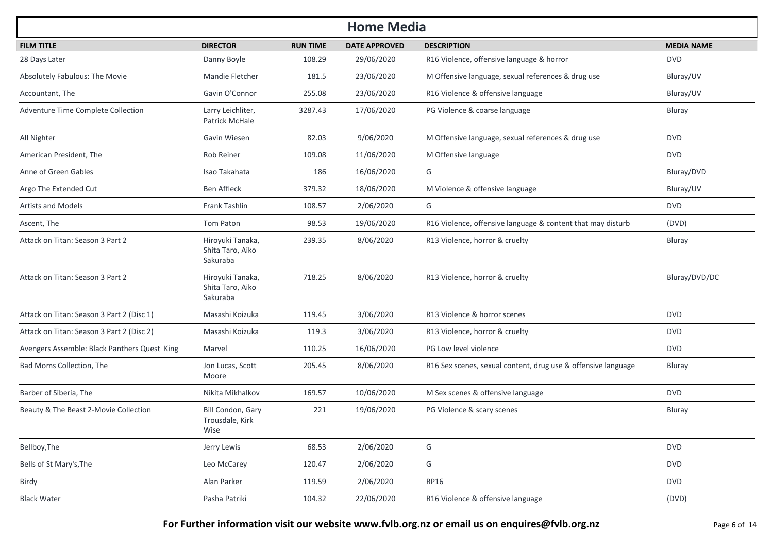| <b>Home Media</b>                            |                                                  |                 |                      |                                                               |                   |  |  |  |
|----------------------------------------------|--------------------------------------------------|-----------------|----------------------|---------------------------------------------------------------|-------------------|--|--|--|
| <b>FILM TITLE</b>                            | <b>DIRECTOR</b>                                  | <b>RUN TIME</b> | <b>DATE APPROVED</b> | <b>DESCRIPTION</b>                                            | <b>MEDIA NAME</b> |  |  |  |
| 28 Days Later                                | Danny Boyle                                      | 108.29          | 29/06/2020           | R16 Violence, offensive language & horror                     | <b>DVD</b>        |  |  |  |
| Absolutely Fabulous: The Movie               | Mandie Fletcher                                  | 181.5           | 23/06/2020           | M Offensive language, sexual references & drug use            | Bluray/UV         |  |  |  |
| Accountant, The                              | Gavin O'Connor                                   | 255.08          | 23/06/2020           | R16 Violence & offensive language                             | Bluray/UV         |  |  |  |
| Adventure Time Complete Collection           | Larry Leichliter,<br>Patrick McHale              | 3287.43         | 17/06/2020           | PG Violence & coarse language                                 | Bluray            |  |  |  |
| All Nighter                                  | Gavin Wiesen                                     | 82.03           | 9/06/2020            | M Offensive language, sexual references & drug use            | <b>DVD</b>        |  |  |  |
| American President, The                      | Rob Reiner                                       | 109.08          | 11/06/2020           | M Offensive language                                          | <b>DVD</b>        |  |  |  |
| Anne of Green Gables                         | Isao Takahata                                    | 186             | 16/06/2020           | G                                                             | Bluray/DVD        |  |  |  |
| Argo The Extended Cut                        | <b>Ben Affleck</b>                               | 379.32          | 18/06/2020           | M Violence & offensive language                               | Bluray/UV         |  |  |  |
| <b>Artists and Models</b>                    | Frank Tashlin                                    | 108.57          | 2/06/2020            | G                                                             | <b>DVD</b>        |  |  |  |
| Ascent, The                                  | Tom Paton                                        | 98.53           | 19/06/2020           | R16 Violence, offensive language & content that may disturb   | (DVD)             |  |  |  |
| Attack on Titan: Season 3 Part 2             | Hiroyuki Tanaka,<br>Shita Taro, Aiko<br>Sakuraba | 239.35          | 8/06/2020            | R13 Violence, horror & cruelty                                | Bluray            |  |  |  |
| Attack on Titan: Season 3 Part 2             | Hiroyuki Tanaka,<br>Shita Taro, Aiko<br>Sakuraba | 718.25          | 8/06/2020            | R13 Violence, horror & cruelty                                | Bluray/DVD/DC     |  |  |  |
| Attack on Titan: Season 3 Part 2 (Disc 1)    | Masashi Koizuka                                  | 119.45          | 3/06/2020            | R13 Violence & horror scenes                                  | <b>DVD</b>        |  |  |  |
| Attack on Titan: Season 3 Part 2 (Disc 2)    | Masashi Koizuka                                  | 119.3           | 3/06/2020            | R13 Violence, horror & cruelty                                | <b>DVD</b>        |  |  |  |
| Avengers Assemble: Black Panthers Quest King | Marvel                                           | 110.25          | 16/06/2020           | PG Low level violence                                         | <b>DVD</b>        |  |  |  |
| Bad Moms Collection, The                     | Jon Lucas, Scott<br>Moore                        | 205.45          | 8/06/2020            | R16 Sex scenes, sexual content, drug use & offensive language | <b>Bluray</b>     |  |  |  |
| Barber of Siberia, The                       | Nikita Mikhalkov                                 | 169.57          | 10/06/2020           | M Sex scenes & offensive language                             | <b>DVD</b>        |  |  |  |
| Beauty & The Beast 2-Movie Collection        | Bill Condon, Gary<br>Trousdale, Kirk<br>Wise     | 221             | 19/06/2020           | PG Violence & scary scenes                                    | Bluray            |  |  |  |
| Bellboy, The                                 | Jerry Lewis                                      | 68.53           | 2/06/2020            | G                                                             | <b>DVD</b>        |  |  |  |
| Bells of St Mary's, The                      | Leo McCarey                                      | 120.47          | 2/06/2020            | G                                                             | <b>DVD</b>        |  |  |  |
| Birdy                                        | Alan Parker                                      | 119.59          | 2/06/2020            | RP16                                                          | <b>DVD</b>        |  |  |  |
| <b>Black Water</b>                           | Pasha Patriki                                    | 104.32          | 22/06/2020           | R16 Violence & offensive language                             | (DVD)             |  |  |  |

**For Further information visit our website www.fvlb.org.nz or email us on enquires@fvlb.org.nz** Page 6 of 14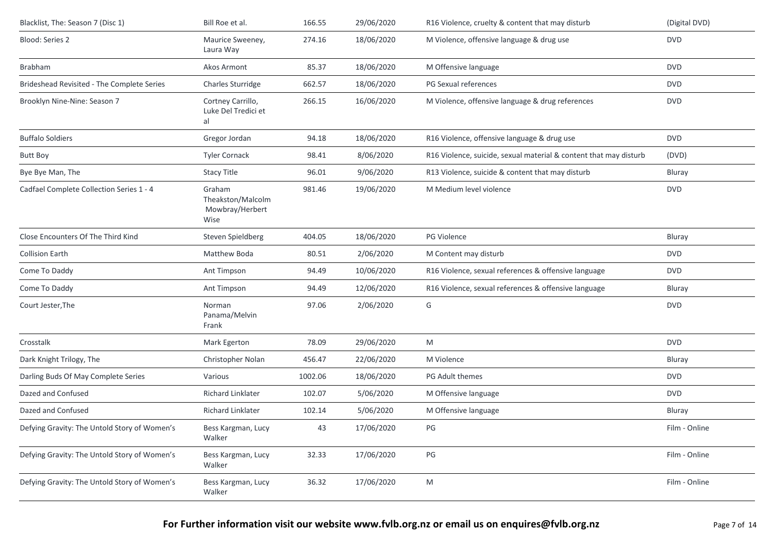| Blacklist, The: Season 7 (Disc 1)            | Bill Roe et al.                                        | 166.55  | 29/06/2020 | R16 Violence, cruelty & content that may disturb                  | (Digital DVD) |
|----------------------------------------------|--------------------------------------------------------|---------|------------|-------------------------------------------------------------------|---------------|
| <b>Blood: Series 2</b>                       | Maurice Sweeney,<br>Laura Way                          | 274.16  | 18/06/2020 | M Violence, offensive language & drug use                         | <b>DVD</b>    |
| Brabham                                      | Akos Armont                                            | 85.37   | 18/06/2020 | M Offensive language                                              | <b>DVD</b>    |
| Brideshead Revisited - The Complete Series   | Charles Sturridge                                      | 662.57  | 18/06/2020 | PG Sexual references                                              | <b>DVD</b>    |
| Brooklyn Nine-Nine: Season 7                 | Cortney Carrillo,<br>Luke Del Tredici et<br>al         | 266.15  | 16/06/2020 | M Violence, offensive language & drug references                  | <b>DVD</b>    |
| <b>Buffalo Soldiers</b>                      | Gregor Jordan                                          | 94.18   | 18/06/2020 | R16 Violence, offensive language & drug use                       | <b>DVD</b>    |
| <b>Butt Boy</b>                              | <b>Tyler Cornack</b>                                   | 98.41   | 8/06/2020  | R16 Violence, suicide, sexual material & content that may disturb | (DVD)         |
| Bye Bye Man, The                             | <b>Stacy Title</b>                                     | 96.01   | 9/06/2020  | R13 Violence, suicide & content that may disturb                  | Bluray        |
| Cadfael Complete Collection Series 1 - 4     | Graham<br>Theakston/Malcolm<br>Mowbray/Herbert<br>Wise | 981.46  | 19/06/2020 | M Medium level violence                                           | <b>DVD</b>    |
| Close Encounters Of The Third Kind           | Steven Spieldberg                                      | 404.05  | 18/06/2020 | PG Violence                                                       | Bluray        |
| <b>Collision Earth</b>                       | Matthew Boda                                           | 80.51   | 2/06/2020  | M Content may disturb                                             | <b>DVD</b>    |
| Come To Daddy                                | Ant Timpson                                            | 94.49   | 10/06/2020 | R16 Violence, sexual references & offensive language              | <b>DVD</b>    |
| Come To Daddy                                | Ant Timpson                                            | 94.49   | 12/06/2020 | R16 Violence, sexual references & offensive language              | Bluray        |
| Court Jester, The                            | Norman<br>Panama/Melvin<br>Frank                       | 97.06   | 2/06/2020  | G                                                                 | <b>DVD</b>    |
| Crosstalk                                    | Mark Egerton                                           | 78.09   | 29/06/2020 | M                                                                 | <b>DVD</b>    |
| Dark Knight Trilogy, The                     | Christopher Nolan                                      | 456.47  | 22/06/2020 | M Violence                                                        | Bluray        |
| Darling Buds Of May Complete Series          | Various                                                | 1002.06 | 18/06/2020 | PG Adult themes                                                   | <b>DVD</b>    |
| Dazed and Confused                           | Richard Linklater                                      | 102.07  | 5/06/2020  | M Offensive language                                              | <b>DVD</b>    |
| Dazed and Confused                           | Richard Linklater                                      | 102.14  | 5/06/2020  | M Offensive language                                              | Bluray        |
| Defying Gravity: The Untold Story of Women's | Bess Kargman, Lucy<br>Walker                           | 43      | 17/06/2020 | PG                                                                | Film - Online |
| Defying Gravity: The Untold Story of Women's | Bess Kargman, Lucy<br>Walker                           | 32.33   | 17/06/2020 | PG                                                                | Film - Online |
| Defying Gravity: The Untold Story of Women's | Bess Kargman, Lucy<br>Walker                           | 36.32   | 17/06/2020 | M                                                                 | Film - Online |
|                                              |                                                        |         |            |                                                                   |               |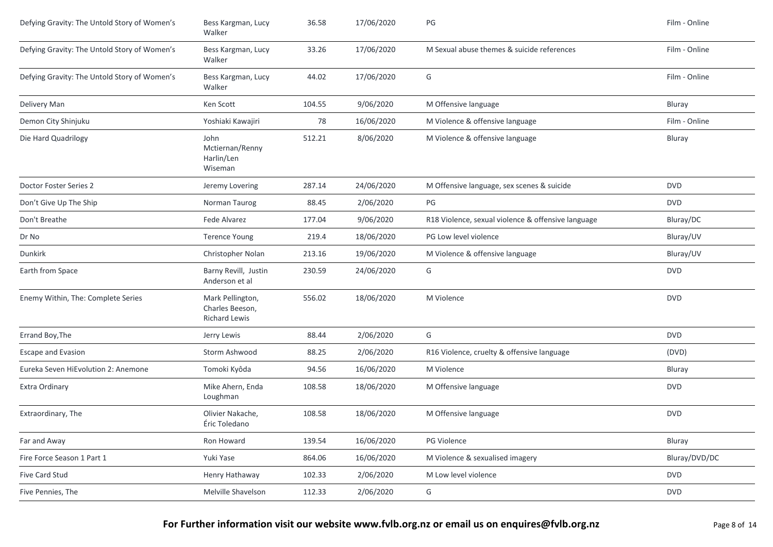| Defying Gravity: The Untold Story of Women's | Bess Kargman, Lucy<br>Walker                                | 36.58  | 17/06/2020 | PG                                                 | Film - Online |
|----------------------------------------------|-------------------------------------------------------------|--------|------------|----------------------------------------------------|---------------|
| Defying Gravity: The Untold Story of Women's | Bess Kargman, Lucy<br>Walker                                | 33.26  | 17/06/2020 | M Sexual abuse themes & suicide references         | Film - Online |
| Defying Gravity: The Untold Story of Women's | Bess Kargman, Lucy<br>Walker                                | 44.02  | 17/06/2020 | G                                                  | Film - Online |
| Delivery Man                                 | Ken Scott                                                   | 104.55 | 9/06/2020  | M Offensive language                               | Bluray        |
| Demon City Shinjuku                          | Yoshiaki Kawajiri                                           | 78     | 16/06/2020 | M Violence & offensive language                    | Film - Online |
| Die Hard Quadrilogy                          | John<br>Mctiernan/Renny<br>Harlin/Len<br>Wiseman            | 512.21 | 8/06/2020  | M Violence & offensive language                    | Bluray        |
| Doctor Foster Series 2                       | Jeremy Lovering                                             | 287.14 | 24/06/2020 | M Offensive language, sex scenes & suicide         | <b>DVD</b>    |
| Don't Give Up The Ship                       | Norman Taurog                                               | 88.45  | 2/06/2020  | PG                                                 | <b>DVD</b>    |
| Don't Breathe                                | Fede Alvarez                                                | 177.04 | 9/06/2020  | R18 Violence, sexual violence & offensive language | Bluray/DC     |
| Dr No                                        | <b>Terence Young</b>                                        | 219.4  | 18/06/2020 | PG Low level violence                              | Bluray/UV     |
| Dunkirk                                      | Christopher Nolan                                           | 213.16 | 19/06/2020 | M Violence & offensive language                    | Bluray/UV     |
| Earth from Space                             | Barny Revill, Justin<br>Anderson et al                      | 230.59 | 24/06/2020 | G                                                  | <b>DVD</b>    |
| Enemy Within, The: Complete Series           | Mark Pellington,<br>Charles Beeson,<br><b>Richard Lewis</b> | 556.02 | 18/06/2020 | M Violence                                         | <b>DVD</b>    |
| Errand Boy, The                              | Jerry Lewis                                                 | 88.44  | 2/06/2020  | G                                                  | <b>DVD</b>    |
| <b>Escape and Evasion</b>                    | Storm Ashwood                                               | 88.25  | 2/06/2020  | R16 Violence, cruelty & offensive language         | (DVD)         |
| Eureka Seven HiEvolution 2: Anemone          | Tomoki Kyôda                                                | 94.56  | 16/06/2020 | M Violence                                         | Bluray        |
| Extra Ordinary                               | Mike Ahern, Enda<br>Loughman                                | 108.58 | 18/06/2020 | M Offensive language                               | <b>DVD</b>    |
| Extraordinary, The                           | Olivier Nakache,<br>Éric Toledano                           | 108.58 | 18/06/2020 | M Offensive language                               | <b>DVD</b>    |
| Far and Away                                 | Ron Howard                                                  | 139.54 | 16/06/2020 | PG Violence                                        | Bluray        |
| Fire Force Season 1 Part 1                   | Yuki Yase                                                   | 864.06 | 16/06/2020 | M Violence & sexualised imagery                    | Bluray/DVD/DC |
| Five Card Stud                               | Henry Hathaway                                              | 102.33 | 2/06/2020  | M Low level violence                               | <b>DVD</b>    |
| Five Pennies, The                            | Melville Shavelson                                          | 112.33 | 2/06/2020  | G                                                  | <b>DVD</b>    |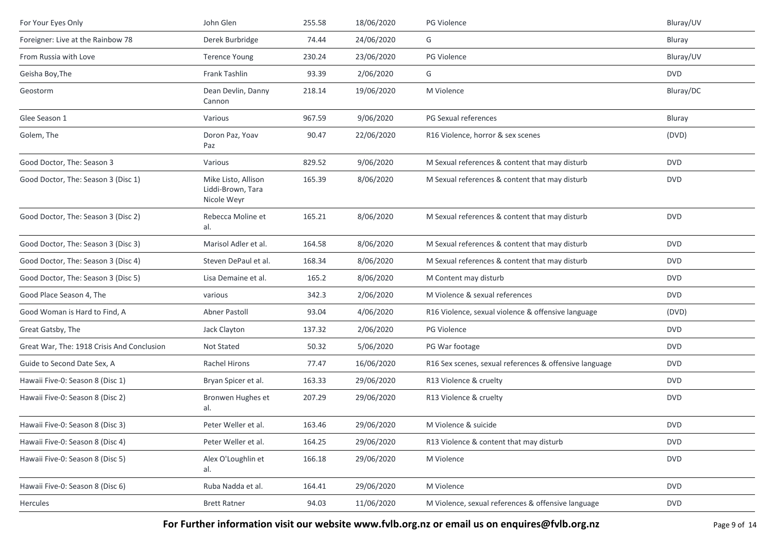| For Your Eyes Only                         | John Glen                                               | 255.58 | 18/06/2020 | PG Violence                                            | Bluray/UV  |
|--------------------------------------------|---------------------------------------------------------|--------|------------|--------------------------------------------------------|------------|
| Foreigner: Live at the Rainbow 78          | Derek Burbridge                                         | 74.44  | 24/06/2020 | G                                                      | Bluray     |
| From Russia with Love                      | <b>Terence Young</b>                                    | 230.24 | 23/06/2020 | <b>PG Violence</b>                                     | Bluray/UV  |
| Geisha Boy, The                            | Frank Tashlin                                           | 93.39  | 2/06/2020  | G                                                      | <b>DVD</b> |
| Geostorm                                   | Dean Devlin, Danny<br>Cannon                            | 218.14 | 19/06/2020 | M Violence                                             | Bluray/DC  |
| Glee Season 1                              | Various                                                 | 967.59 | 9/06/2020  | PG Sexual references                                   | Bluray     |
| Golem, The                                 | Doron Paz, Yoav<br>Paz                                  | 90.47  | 22/06/2020 | R16 Violence, horror & sex scenes                      | (DVD)      |
| Good Doctor, The: Season 3                 | Various                                                 | 829.52 | 9/06/2020  | M Sexual references & content that may disturb         | <b>DVD</b> |
| Good Doctor, The: Season 3 (Disc 1)        | Mike Listo, Allison<br>Liddi-Brown, Tara<br>Nicole Weyr | 165.39 | 8/06/2020  | M Sexual references & content that may disturb         | <b>DVD</b> |
| Good Doctor, The: Season 3 (Disc 2)        | Rebecca Moline et<br>al.                                | 165.21 | 8/06/2020  | M Sexual references & content that may disturb         | <b>DVD</b> |
| Good Doctor, The: Season 3 (Disc 3)        | Marisol Adler et al.                                    | 164.58 | 8/06/2020  | M Sexual references & content that may disturb         | <b>DVD</b> |
| Good Doctor, The: Season 3 (Disc 4)        | Steven DePaul et al.                                    | 168.34 | 8/06/2020  | M Sexual references & content that may disturb         | <b>DVD</b> |
| Good Doctor, The: Season 3 (Disc 5)        | Lisa Demaine et al.                                     | 165.2  | 8/06/2020  | M Content may disturb                                  | <b>DVD</b> |
| Good Place Season 4, The                   | various                                                 | 342.3  | 2/06/2020  | M Violence & sexual references                         | <b>DVD</b> |
| Good Woman is Hard to Find, A              | Abner Pastoll                                           | 93.04  | 4/06/2020  | R16 Violence, sexual violence & offensive language     | (DVD)      |
| Great Gatsby, The                          | Jack Clayton                                            | 137.32 | 2/06/2020  | PG Violence                                            | <b>DVD</b> |
| Great War, The: 1918 Crisis And Conclusion | Not Stated                                              | 50.32  | 5/06/2020  | PG War footage                                         | <b>DVD</b> |
| Guide to Second Date Sex, A                | Rachel Hirons                                           | 77.47  | 16/06/2020 | R16 Sex scenes, sexual references & offensive language | <b>DVD</b> |
| Hawaii Five-0: Season 8 (Disc 1)           | Bryan Spicer et al.                                     | 163.33 | 29/06/2020 | R13 Violence & cruelty                                 | <b>DVD</b> |
| Hawaii Five-0: Season 8 (Disc 2)           | Bronwen Hughes et<br>al.                                | 207.29 | 29/06/2020 | R13 Violence & cruelty                                 | <b>DVD</b> |
| Hawaii Five-0: Season 8 (Disc 3)           | Peter Weller et al.                                     | 163.46 | 29/06/2020 | M Violence & suicide                                   | <b>DVD</b> |
| Hawaii Five-0: Season 8 (Disc 4)           | Peter Weller et al.                                     | 164.25 | 29/06/2020 | R13 Violence & content that may disturb                | <b>DVD</b> |
| Hawaii Five-0: Season 8 (Disc 5)           | Alex O'Loughlin et<br>al.                               | 166.18 | 29/06/2020 | M Violence                                             | <b>DVD</b> |
| Hawaii Five-0: Season 8 (Disc 6)           | Ruba Nadda et al.                                       | 164.41 | 29/06/2020 | M Violence                                             | <b>DVD</b> |
| Hercules                                   | <b>Brett Ratner</b>                                     | 94.03  | 11/06/2020 | M Violence, sexual references & offensive language     | <b>DVD</b> |

For Further information visit our website www.fvlb.org.nz or email us on enquires@fvlb.org.nz<br>Page 9 of 14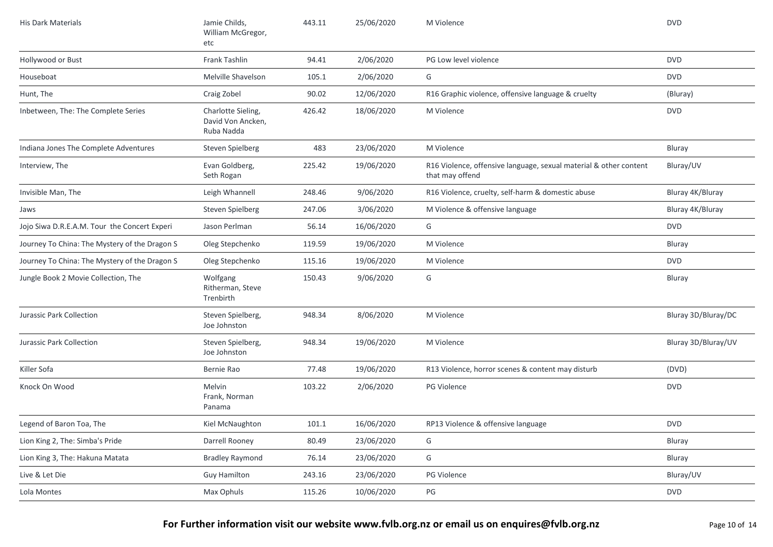| <b>His Dark Materials</b>                     | Jamie Childs,<br>William McGregor,<br>etc             | 443.11 | 25/06/2020 | M Violence                                                                           | <b>DVD</b>          |
|-----------------------------------------------|-------------------------------------------------------|--------|------------|--------------------------------------------------------------------------------------|---------------------|
| Hollywood or Bust                             | Frank Tashlin                                         | 94.41  | 2/06/2020  | PG Low level violence                                                                | <b>DVD</b>          |
| Houseboat                                     | Melville Shavelson                                    | 105.1  | 2/06/2020  | G                                                                                    | <b>DVD</b>          |
| Hunt, The                                     | Craig Zobel                                           | 90.02  | 12/06/2020 | R16 Graphic violence, offensive language & cruelty                                   | (Bluray)            |
| Inbetween, The: The Complete Series           | Charlotte Sieling,<br>David Von Ancken,<br>Ruba Nadda | 426.42 | 18/06/2020 | M Violence                                                                           | <b>DVD</b>          |
| Indiana Jones The Complete Adventures         | Steven Spielberg                                      | 483    | 23/06/2020 | M Violence                                                                           | Bluray              |
| Interview, The                                | Evan Goldberg,<br>Seth Rogan                          | 225.42 | 19/06/2020 | R16 Violence, offensive language, sexual material & other content<br>that may offend | Bluray/UV           |
| Invisible Man, The                            | Leigh Whannell                                        | 248.46 | 9/06/2020  | R16 Violence, cruelty, self-harm & domestic abuse                                    | Bluray 4K/Bluray    |
| Jaws                                          | Steven Spielberg                                      | 247.06 | 3/06/2020  | M Violence & offensive language                                                      | Bluray 4K/Bluray    |
| Jojo Siwa D.R.E.A.M. Tour the Concert Experi  | Jason Perlman                                         | 56.14  | 16/06/2020 | G                                                                                    | <b>DVD</b>          |
| Journey To China: The Mystery of the Dragon S | Oleg Stepchenko                                       | 119.59 | 19/06/2020 | M Violence                                                                           | Bluray              |
| Journey To China: The Mystery of the Dragon S | Oleg Stepchenko                                       | 115.16 | 19/06/2020 | M Violence                                                                           | <b>DVD</b>          |
| Jungle Book 2 Movie Collection, The           | Wolfgang<br>Ritherman, Steve<br>Trenbirth             | 150.43 | 9/06/2020  | G                                                                                    | Bluray              |
| Jurassic Park Collection                      | Steven Spielberg,<br>Joe Johnston                     | 948.34 | 8/06/2020  | M Violence                                                                           | Bluray 3D/Bluray/DC |
| Jurassic Park Collection                      | Steven Spielberg,<br>Joe Johnston                     | 948.34 | 19/06/2020 | M Violence                                                                           | Bluray 3D/Bluray/UV |
| Killer Sofa                                   | Bernie Rao                                            | 77.48  | 19/06/2020 | R13 Violence, horror scenes & content may disturb                                    | (DVD)               |
| Knock On Wood                                 | Melvin<br>Frank, Norman<br>Panama                     | 103.22 | 2/06/2020  | PG Violence                                                                          | <b>DVD</b>          |
| Legend of Baron Toa, The                      | Kiel McNaughton                                       | 101.1  | 16/06/2020 | RP13 Violence & offensive language                                                   | <b>DVD</b>          |
| Lion King 2, The: Simba's Pride               | Darrell Rooney                                        | 80.49  | 23/06/2020 | G                                                                                    | Bluray              |
| Lion King 3, The: Hakuna Matata               | <b>Bradley Raymond</b>                                | 76.14  | 23/06/2020 | G                                                                                    | Bluray              |
| Live & Let Die                                | <b>Guy Hamilton</b>                                   | 243.16 | 23/06/2020 | PG Violence                                                                          | Bluray/UV           |
| Lola Montes                                   | Max Ophuls                                            | 115.26 | 10/06/2020 | $\mathsf{PG}$                                                                        | <b>DVD</b>          |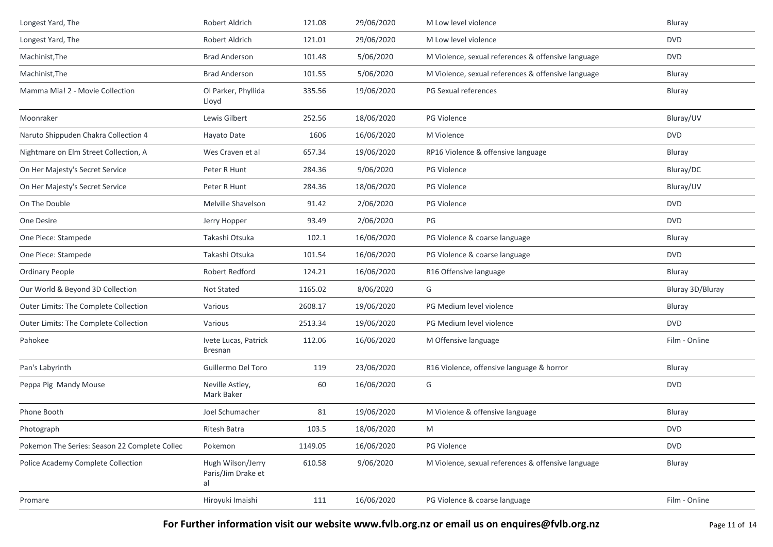| Longest Yard, The                             | Robert Aldrich                                | 121.08  | 29/06/2020 | M Low level violence                               | Bluray           |
|-----------------------------------------------|-----------------------------------------------|---------|------------|----------------------------------------------------|------------------|
| Longest Yard, The                             | Robert Aldrich                                | 121.01  | 29/06/2020 | M Low level violence                               | <b>DVD</b>       |
| Machinist, The                                | <b>Brad Anderson</b>                          | 101.48  | 5/06/2020  | M Violence, sexual references & offensive language | <b>DVD</b>       |
| Machinist, The                                | <b>Brad Anderson</b>                          | 101.55  | 5/06/2020  | M Violence, sexual references & offensive language | Bluray           |
| Mamma Mia! 2 - Movie Collection               | Ol Parker, Phyllida<br>Lloyd                  | 335.56  | 19/06/2020 | PG Sexual references                               | Bluray           |
| Moonraker                                     | Lewis Gilbert                                 | 252.56  | 18/06/2020 | PG Violence                                        | Bluray/UV        |
| Naruto Shippuden Chakra Collection 4          | Hayato Date                                   | 1606    | 16/06/2020 | M Violence                                         | <b>DVD</b>       |
| Nightmare on Elm Street Collection, A         | Wes Craven et al                              | 657.34  | 19/06/2020 | RP16 Violence & offensive language                 | Bluray           |
| On Her Majesty's Secret Service               | Peter R Hunt                                  | 284.36  | 9/06/2020  | PG Violence                                        | Bluray/DC        |
| On Her Majesty's Secret Service               | Peter R Hunt                                  | 284.36  | 18/06/2020 | <b>PG Violence</b>                                 | Bluray/UV        |
| On The Double                                 | Melville Shavelson                            | 91.42   | 2/06/2020  | PG Violence                                        | <b>DVD</b>       |
| One Desire                                    | Jerry Hopper                                  | 93.49   | 2/06/2020  | PG                                                 | <b>DVD</b>       |
| One Piece: Stampede                           | Takashi Otsuka                                | 102.1   | 16/06/2020 | PG Violence & coarse language                      | Bluray           |
| One Piece: Stampede                           | Takashi Otsuka                                | 101.54  | 16/06/2020 | PG Violence & coarse language                      | <b>DVD</b>       |
| <b>Ordinary People</b>                        | Robert Redford                                | 124.21  | 16/06/2020 | R16 Offensive language                             | Bluray           |
| Our World & Beyond 3D Collection              | Not Stated                                    | 1165.02 | 8/06/2020  | G                                                  | Bluray 3D/Bluray |
| Outer Limits: The Complete Collection         | Various                                       | 2608.17 | 19/06/2020 | PG Medium level violence                           | Bluray           |
| Outer Limits: The Complete Collection         | Various                                       | 2513.34 | 19/06/2020 | PG Medium level violence                           | <b>DVD</b>       |
| Pahokee                                       | Ivete Lucas, Patrick<br>Bresnan               | 112.06  | 16/06/2020 | M Offensive language                               | Film - Online    |
| Pan's Labyrinth                               | Guillermo Del Toro                            | 119     | 23/06/2020 | R16 Violence, offensive language & horror          | Bluray           |
| Peppa Pig Mandy Mouse                         | Neville Astley,<br>Mark Baker                 | 60      | 16/06/2020 | G                                                  | <b>DVD</b>       |
| Phone Booth                                   | Joel Schumacher                               | 81      | 19/06/2020 | M Violence & offensive language                    | Bluray           |
| Photograph                                    | Ritesh Batra                                  | 103.5   | 18/06/2020 | M                                                  | <b>DVD</b>       |
| Pokemon The Series: Season 22 Complete Collec | Pokemon                                       | 1149.05 | 16/06/2020 | PG Violence                                        | <b>DVD</b>       |
| Police Academy Complete Collection            | Hugh Wilson/Jerry<br>Paris/Jim Drake et<br>al | 610.58  | 9/06/2020  | M Violence, sexual references & offensive language | Bluray           |
| Promare                                       | Hiroyuki Imaishi                              | 111     | 16/06/2020 | PG Violence & coarse language                      | Film - Online    |

**For Further information visit our website www.fvlb.org.nz or email us on enquires@fvlb.org.nz** Page 11 of 14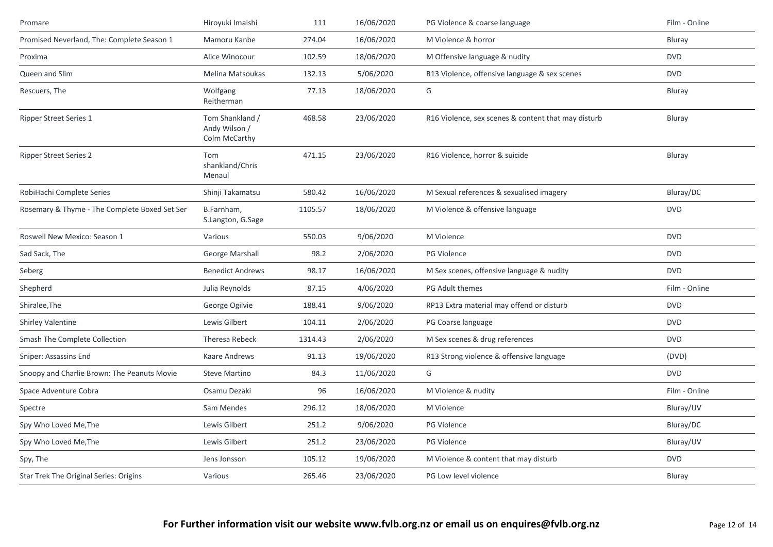| Promare                                       | Hiroyuki Imaishi                                  | 111     | 16/06/2020 | PG Violence & coarse language                       | Film - Online |
|-----------------------------------------------|---------------------------------------------------|---------|------------|-----------------------------------------------------|---------------|
| Promised Neverland, The: Complete Season 1    | Mamoru Kanbe                                      | 274.04  | 16/06/2020 | M Violence & horror                                 | Bluray        |
| Proxima                                       | Alice Winocour                                    | 102.59  | 18/06/2020 | M Offensive language & nudity                       | <b>DVD</b>    |
| Queen and Slim                                | Melina Matsoukas                                  | 132.13  | 5/06/2020  | R13 Violence, offensive language & sex scenes       | <b>DVD</b>    |
| Rescuers, The                                 | Wolfgang<br>Reitherman                            | 77.13   | 18/06/2020 | G                                                   | Bluray        |
| <b>Ripper Street Series 1</b>                 | Tom Shankland /<br>Andy Wilson /<br>Colm McCarthy | 468.58  | 23/06/2020 | R16 Violence, sex scenes & content that may disturb | Bluray        |
| <b>Ripper Street Series 2</b>                 | Tom<br>shankland/Chris<br>Menaul                  | 471.15  | 23/06/2020 | R16 Violence, horror & suicide                      | Bluray        |
| RobiHachi Complete Series                     | Shinji Takamatsu                                  | 580.42  | 16/06/2020 | M Sexual references & sexualised imagery            | Bluray/DC     |
| Rosemary & Thyme - The Complete Boxed Set Ser | B.Farnham,<br>S.Langton, G.Sage                   | 1105.57 | 18/06/2020 | M Violence & offensive language                     | <b>DVD</b>    |
| Roswell New Mexico: Season 1                  | Various                                           | 550.03  | 9/06/2020  | M Violence                                          | <b>DVD</b>    |
| Sad Sack, The                                 | George Marshall                                   | 98.2    | 2/06/2020  | <b>PG Violence</b>                                  | <b>DVD</b>    |
| Seberg                                        | <b>Benedict Andrews</b>                           | 98.17   | 16/06/2020 | M Sex scenes, offensive language & nudity           | <b>DVD</b>    |
| Shepherd                                      | Julia Reynolds                                    | 87.15   | 4/06/2020  | PG Adult themes                                     | Film - Online |
| Shiralee, The                                 | George Ogilvie                                    | 188.41  | 9/06/2020  | RP13 Extra material may offend or disturb           | <b>DVD</b>    |
| <b>Shirley Valentine</b>                      | Lewis Gilbert                                     | 104.11  | 2/06/2020  | PG Coarse language                                  | <b>DVD</b>    |
| Smash The Complete Collection                 | Theresa Rebeck                                    | 1314.43 | 2/06/2020  | M Sex scenes & drug references                      | <b>DVD</b>    |
| Sniper: Assassins End                         | Kaare Andrews                                     | 91.13   | 19/06/2020 | R13 Strong violence & offensive language            | (DVD)         |
| Snoopy and Charlie Brown: The Peanuts Movie   | <b>Steve Martino</b>                              | 84.3    | 11/06/2020 | G                                                   | <b>DVD</b>    |
| Space Adventure Cobra                         | Osamu Dezaki                                      | 96      | 16/06/2020 | M Violence & nudity                                 | Film - Online |
| Spectre                                       | Sam Mendes                                        | 296.12  | 18/06/2020 | M Violence                                          | Bluray/UV     |
| Spy Who Loved Me, The                         | Lewis Gilbert                                     | 251.2   | 9/06/2020  | <b>PG Violence</b>                                  | Bluray/DC     |
| Spy Who Loved Me, The                         | Lewis Gilbert                                     | 251.2   | 23/06/2020 | <b>PG Violence</b>                                  | Bluray/UV     |
| Spy, The                                      | Jens Jonsson                                      | 105.12  | 19/06/2020 | M Violence & content that may disturb               | <b>DVD</b>    |
| Star Trek The Original Series: Origins        | Various                                           | 265.46  | 23/06/2020 | PG Low level violence                               | Bluray        |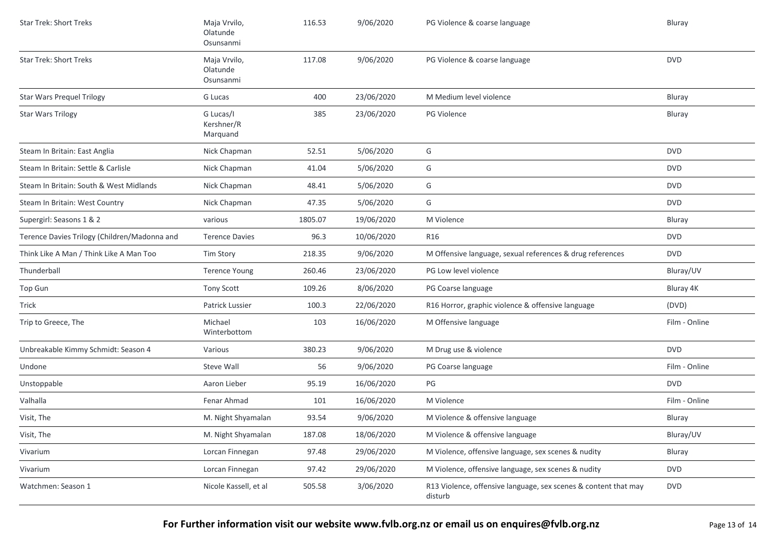| <b>Star Trek: Short Treks</b>                | Maja Vrvilo,<br>Olatunde<br>Osunsanmi | 116.53  | 9/06/2020  | PG Violence & coarse language                                              | Bluray        |
|----------------------------------------------|---------------------------------------|---------|------------|----------------------------------------------------------------------------|---------------|
| <b>Star Trek: Short Treks</b>                | Maja Vrvilo,<br>Olatunde<br>Osunsanmi | 117.08  | 9/06/2020  | PG Violence & coarse language                                              | <b>DVD</b>    |
| <b>Star Wars Prequel Trilogy</b>             | G Lucas                               | 400     | 23/06/2020 | M Medium level violence                                                    | Bluray        |
| <b>Star Wars Trilogy</b>                     | G Lucas/I<br>Kershner/R<br>Marquand   | 385     | 23/06/2020 | PG Violence                                                                | Bluray        |
| Steam In Britain: East Anglia                | Nick Chapman                          | 52.51   | 5/06/2020  | G                                                                          | <b>DVD</b>    |
| Steam In Britain: Settle & Carlisle          | Nick Chapman                          | 41.04   | 5/06/2020  | G                                                                          | <b>DVD</b>    |
| Steam In Britain: South & West Midlands      | Nick Chapman                          | 48.41   | 5/06/2020  | G                                                                          | <b>DVD</b>    |
| Steam In Britain: West Country               | Nick Chapman                          | 47.35   | 5/06/2020  | G                                                                          | <b>DVD</b>    |
| Supergirl: Seasons 1 & 2                     | various                               | 1805.07 | 19/06/2020 | M Violence                                                                 | Bluray        |
| Terence Davies Trilogy (Children/Madonna and | <b>Terence Davies</b>                 | 96.3    | 10/06/2020 | <b>R16</b>                                                                 | <b>DVD</b>    |
| Think Like A Man / Think Like A Man Too      | <b>Tim Story</b>                      | 218.35  | 9/06/2020  | M Offensive language, sexual references & drug references                  | <b>DVD</b>    |
| Thunderball                                  | <b>Terence Young</b>                  | 260.46  | 23/06/2020 | PG Low level violence                                                      | Bluray/UV     |
| Top Gun                                      | <b>Tony Scott</b>                     | 109.26  | 8/06/2020  | PG Coarse language                                                         | Bluray 4K     |
| Trick                                        | Patrick Lussier                       | 100.3   | 22/06/2020 | R16 Horror, graphic violence & offensive language                          | (DVD)         |
| Trip to Greece, The                          | Michael<br>Winterbottom               | 103     | 16/06/2020 | M Offensive language                                                       | Film - Online |
| Unbreakable Kimmy Schmidt: Season 4          | Various                               | 380.23  | 9/06/2020  | M Drug use & violence                                                      | <b>DVD</b>    |
| Undone                                       | <b>Steve Wall</b>                     | 56      | 9/06/2020  | PG Coarse language                                                         | Film - Online |
| Unstoppable                                  | Aaron Lieber                          | 95.19   | 16/06/2020 | PG                                                                         | <b>DVD</b>    |
| Valhalla                                     | Fenar Ahmad                           | 101     | 16/06/2020 | M Violence                                                                 | Film - Online |
| Visit, The                                   | M. Night Shyamalan                    | 93.54   | 9/06/2020  | M Violence & offensive language                                            | Bluray        |
| Visit, The                                   | M. Night Shyamalan                    | 187.08  | 18/06/2020 | M Violence & offensive language                                            | Bluray/UV     |
| Vivarium                                     | Lorcan Finnegan                       | 97.48   | 29/06/2020 | M Violence, offensive language, sex scenes & nudity                        | Bluray        |
| Vivarium                                     | Lorcan Finnegan                       | 97.42   | 29/06/2020 | M Violence, offensive language, sex scenes & nudity                        | <b>DVD</b>    |
| Watchmen: Season 1                           | Nicole Kassell, et al                 | 505.58  | 3/06/2020  | R13 Violence, offensive language, sex scenes & content that may<br>disturb | <b>DVD</b>    |